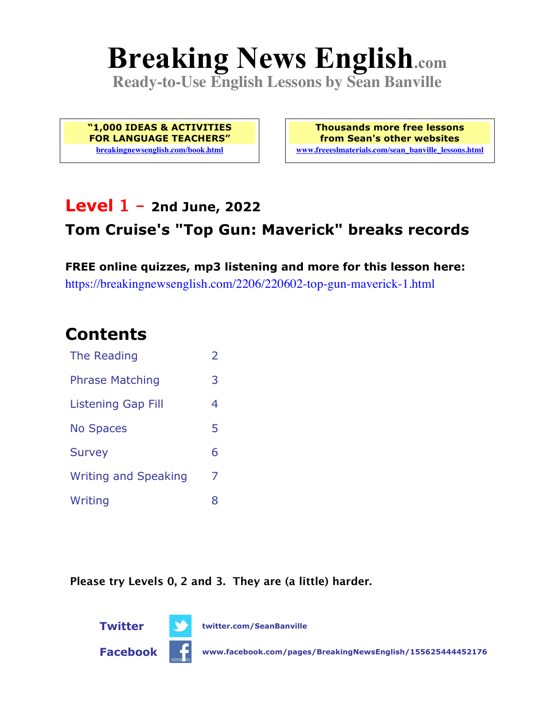# **Breaking News English.com**

**Ready-to-Use English Lessons by Sean Banville**

**"1,000 IDEAS & ACTIVITIES FOR LANGUAGE TEACHERS" breakingnewsenglish.com/book.html**

**Thousands more free lessons from Sean's other websites www.freeeslmaterials.com/sean\_banville\_lessons.html**

### **Level 1 - 2nd June, 2022**

### **Tom Cruise's "Top Gun: Maverick" breaks records**

**FREE online quizzes, mp3 listening and more for this lesson here:** https://breakingnewsenglish.com/2206/220602-top-gun-maverick-1.html

### **Contents**

| The Reading                 | $\overline{\phantom{a}}$ |
|-----------------------------|--------------------------|
| <b>Phrase Matching</b>      | 3                        |
| <b>Listening Gap Fill</b>   | 4                        |
| <b>No Spaces</b>            | 5                        |
| <b>Survey</b>               | 6                        |
| <b>Writing and Speaking</b> | 7                        |
| Writing                     | 8                        |

**Please try Levels 0, 2 and 3. They are (a little) harder.**

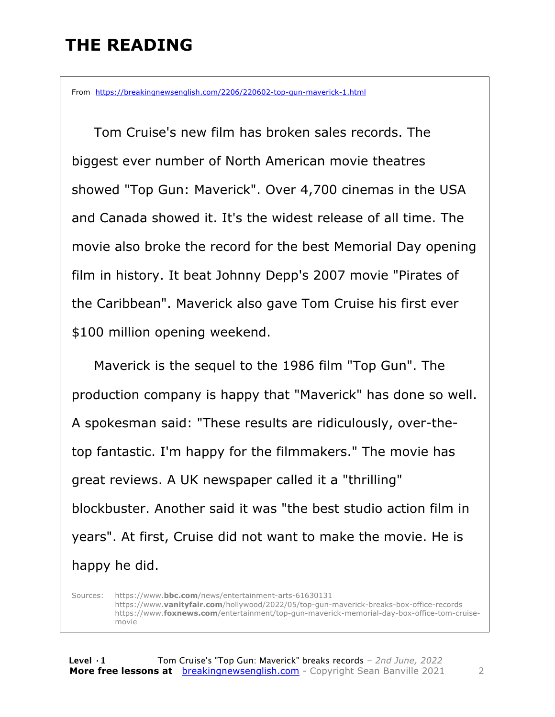## **THE READING**

From https://breakingnewsenglish.com/2206/220602-top-gun-maverick-1.html

 Tom Cruise's new film has broken sales records. The biggest ever number of North American movie theatres showed "Top Gun: Maverick". Over 4,700 cinemas in the USA and Canada showed it. It's the widest release of all time. The movie also broke the record for the best Memorial Day opening film in history. It beat Johnny Depp's 2007 movie "Pirates of the Caribbean". Maverick also gave Tom Cruise his first ever \$100 million opening weekend.

 Maverick is the sequel to the 1986 film "Top Gun". The production company is happy that "Maverick" has done so well. A spokesman said: "These results are ridiculously, over-thetop fantastic. I'm happy for the filmmakers." The movie has great reviews. A UK newspaper called it a "thrilling" blockbuster. Another said it was "the best studio action film in years". At first, Cruise did not want to make the movie. He is happy he did.

Sources: https://www.**bbc.com**/news/entertainment-arts-61630131 https://www.**vanityfair.com**/hollywood/2022/05/top-gun-maverick-breaks-box-office-records https://www.**foxnews.com**/entertainment/top-gun-maverick-memorial-day-box-office-tom-cruisemovie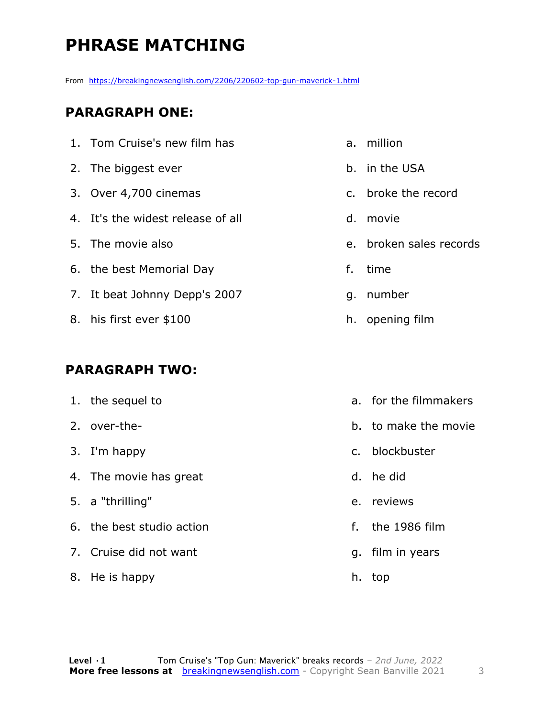# **PHRASE MATCHING**

From https://breakingnewsenglish.com/2206/220602-top-gun-maverick-1.html

#### **PARAGRAPH ONE:**

- 1. Tom Cruise's new film has 2. The biggest ever
- 3. Over 4,700 cinemas
- 4. It's the widest release of all
- 5. The movie also
- 6. the best Memorial Day
- 7. It beat Johnny Depp's 2007
- 8. his first ever \$100

#### **PARAGRAPH TWO:**

1. the sequel to 2. over-the-3. I'm happy 4. The movie has great 5. a "thrilling" 6. the best studio action 7. Cruise did not want 8. He is happy d. he did e. reviews

- a. million
- b. in the USA
- c. broke the record
- d. movie
- e. broken sales records
- f. time
- g. number
- h. opening film
- a. for the filmmakers
- b. to make the movie
- c. blockbuster
- f. the 1986 film
- g. film in years
- h. top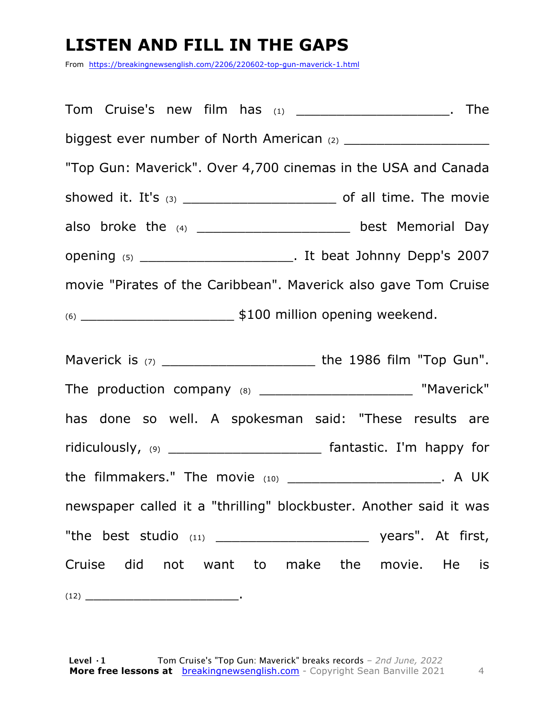## **LISTEN AND FILL IN THE GAPS**

From https://breakingnewsenglish.com/2206/220602-top-gun-maverick-1.html

Tom Cruise's new film has (1) \_\_\_\_\_\_\_\_\_\_\_\_\_\_\_\_\_\_\_. The biggest ever number of North American (2) \_\_\_\_\_\_\_\_\_\_\_\_\_\_\_\_\_\_ "Top Gun: Maverick". Over 4,700 cinemas in the USA and Canada showed it. It's (3) \_\_\_\_\_\_\_\_\_\_\_\_\_\_\_\_\_\_\_ of all time. The movie also broke the (4) \_\_\_\_\_\_\_\_\_\_\_\_\_\_\_\_\_\_\_\_\_ best Memorial Day opening (5) \_\_\_\_\_\_\_\_\_\_\_\_\_\_\_\_\_\_\_. It beat Johnny Depp's 2007 movie "Pirates of the Caribbean". Maverick also gave Tom Cruise  $(6)$   $\longrightarrow$  \$100 million opening weekend.

Maverick is (7) \_\_\_\_\_\_\_\_\_\_\_\_\_\_\_\_\_\_\_\_\_\_\_\_\_\_\_\_\_ the 1986 film "Top Gun". The production company (8) \_\_\_\_\_\_\_\_\_\_\_\_\_\_\_\_\_\_\_\_\_\_\_\_ "Maverick" has done so well. A spokesman said: "These results are ridiculously, (9) \_\_\_\_\_\_\_\_\_\_\_\_\_\_\_\_\_\_\_\_\_\_\_\_\_\_ fantastic. I'm happy for the filmmakers." The movie (10) \_\_\_\_\_\_\_\_\_\_\_\_\_\_\_\_\_\_\_\_\_\_\_\_\_. A UK newspaper called it a "thrilling" blockbuster. Another said it was "the best studio (11) \_\_\_\_\_\_\_\_\_\_\_\_\_\_\_\_\_\_\_ years". At first, Cruise did not want to make the movie. He is (12) \_\_\_\_\_\_\_\_\_\_\_\_\_\_\_\_\_\_\_.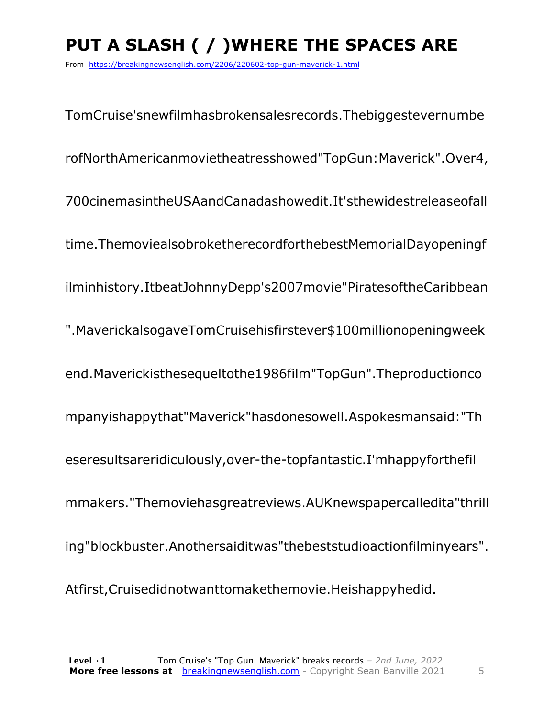# **PUT A SLASH ( / )WHERE THE SPACES ARE**

From https://breakingnewsenglish.com/2206/220602-top-gun-maverick-1.html

TomCruise'snewfilmhasbrokensalesrecords.Thebiggestevernumbe rofNorthAmericanmovietheatresshowed"TopGun:Maverick".Over4, 700cinemasintheUSAandCanadashowedit.It'sthewidestreleaseofall time.ThemoviealsobroketherecordforthebestMemorialDayopeningf ilminhistory.ItbeatJohnnyDepp's2007movie"PiratesoftheCaribbean ".MaverickalsogaveTomCruisehisfirstever\$100millionopeningweek end.Maverickisthesequeltothe1986film"TopGun".Theproductionco mpanyishappythat"Maverick"hasdonesowell.Aspokesmansaid:"Th eseresultsareridiculously,over-the-topfantastic.I'mhappyforthefil mmakers."Themoviehasgreatreviews.AUKnewspapercalledita"thrill ing"blockbuster.Anothersaiditwas"thebeststudioactionfilminyears". Atfirst,Cruisedidnotwanttomakethemovie.Heishappyhedid.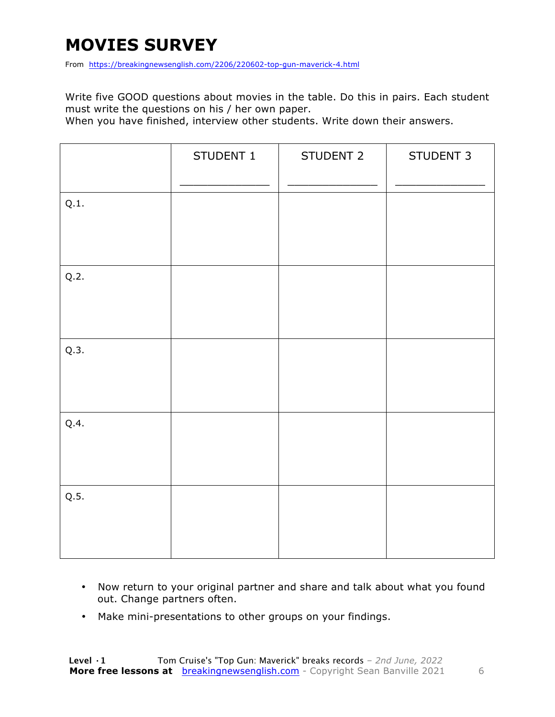## **MOVIES SURVEY**

From https://breakingnewsenglish.com/2206/220602-top-gun-maverick-4.html

Write five GOOD questions about movies in the table. Do this in pairs. Each student must write the questions on his / her own paper.

When you have finished, interview other students. Write down their answers.

|      | STUDENT 1 | STUDENT 2 | STUDENT 3 |
|------|-----------|-----------|-----------|
| Q.1. |           |           |           |
| Q.2. |           |           |           |
| Q.3. |           |           |           |
| Q.4. |           |           |           |
| Q.5. |           |           |           |

- Now return to your original partner and share and talk about what you found out. Change partners often.
- Make mini-presentations to other groups on your findings.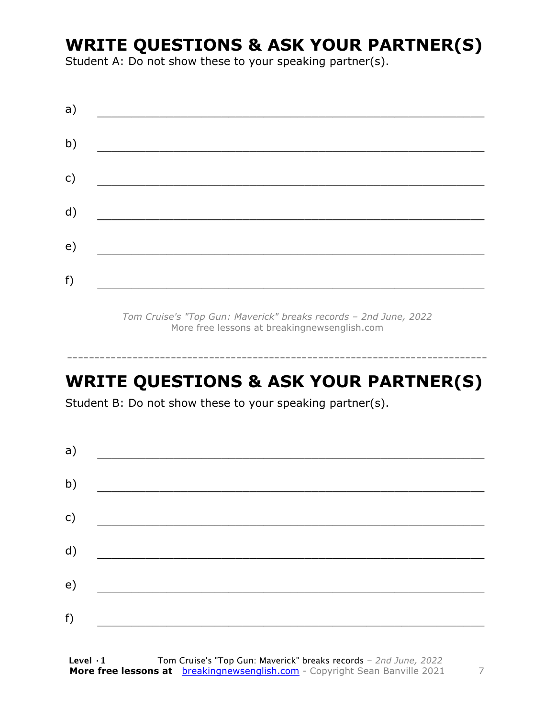### **WRITE QUESTIONS & ASK YOUR PARTNER(S)**

Student A: Do not show these to your speaking partner(s).

| a) |  |  |
|----|--|--|
| b) |  |  |
| c) |  |  |
| d) |  |  |
| e) |  |  |
|    |  |  |
| f) |  |  |

*Tom Cruise's "Top Gun: Maverick" breaks records – 2nd June, 2022* More free lessons at breakingnewsenglish.com

### **WRITE QUESTIONS & ASK YOUR PARTNER(S)**

-----------------------------------------------------------------------------

Student B: Do not show these to your speaking partner(s).

| a) |  |  |
|----|--|--|
| b) |  |  |
| c) |  |  |
| d) |  |  |
| e) |  |  |
| f) |  |  |
|    |  |  |